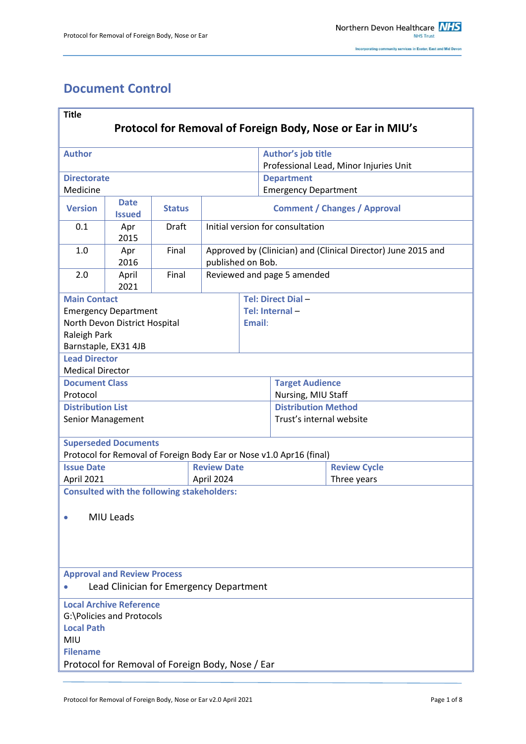# <span id="page-0-0"></span>**Document Control**

| <b>Title</b>                                                                                                   |                                                   |               |            |                                                                                    |                                                              |             |  |  |
|----------------------------------------------------------------------------------------------------------------|---------------------------------------------------|---------------|------------|------------------------------------------------------------------------------------|--------------------------------------------------------------|-------------|--|--|
| Protocol for Removal of Foreign Body, Nose or Ear in MIU's                                                     |                                                   |               |            |                                                                                    |                                                              |             |  |  |
| <b>Author</b>                                                                                                  |                                                   |               |            |                                                                                    | Author's job title<br>Professional Lead, Minor Injuries Unit |             |  |  |
| <b>Directorate</b>                                                                                             |                                                   |               |            |                                                                                    | <b>Department</b>                                            |             |  |  |
| Medicine                                                                                                       |                                                   |               |            |                                                                                    | <b>Emergency Department</b>                                  |             |  |  |
| <b>Version</b>                                                                                                 | <b>Date</b><br><b>Issued</b>                      | <b>Status</b> |            | <b>Comment / Changes / Approval</b>                                                |                                                              |             |  |  |
| 0.1                                                                                                            | Apr<br>2015                                       | <b>Draft</b>  |            | Initial version for consultation                                                   |                                                              |             |  |  |
| 1.0                                                                                                            | Apr<br>2016                                       | Final         |            | Approved by (Clinician) and (Clinical Director) June 2015 and<br>published on Bob. |                                                              |             |  |  |
| 2.0                                                                                                            | April<br>2021                                     | Final         |            | Reviewed and page 5 amended                                                        |                                                              |             |  |  |
| <b>Main Contact</b>                                                                                            |                                                   |               |            |                                                                                    | Tel: Direct Dial-                                            |             |  |  |
|                                                                                                                | <b>Emergency Department</b>                       |               |            |                                                                                    | Tel: Internal-                                               |             |  |  |
|                                                                                                                | North Devon District Hospital                     |               |            | Email:                                                                             |                                                              |             |  |  |
| Raleigh Park                                                                                                   |                                                   |               |            |                                                                                    |                                                              |             |  |  |
| Barnstaple, EX31 4JB                                                                                           |                                                   |               |            |                                                                                    |                                                              |             |  |  |
| <b>Lead Director</b><br><b>Medical Director</b>                                                                |                                                   |               |            |                                                                                    |                                                              |             |  |  |
| <b>Document Class</b>                                                                                          |                                                   |               |            |                                                                                    | <b>Target Audience</b>                                       |             |  |  |
| Protocol                                                                                                       |                                                   |               |            |                                                                                    | Nursing, MIU Staff                                           |             |  |  |
| <b>Distribution List</b>                                                                                       |                                                   |               |            |                                                                                    | <b>Distribution Method</b>                                   |             |  |  |
| Senior Management                                                                                              |                                                   |               |            |                                                                                    | Trust's internal website                                     |             |  |  |
|                                                                                                                | <b>Superseded Documents</b>                       |               |            |                                                                                    |                                                              |             |  |  |
| Protocol for Removal of Foreign Body Ear or Nose v1.0 Apr16 (final)<br><b>Review Date</b><br><b>Issue Date</b> |                                                   |               |            |                                                                                    | <b>Review Cycle</b>                                          |             |  |  |
| April 2021                                                                                                     |                                                   |               | April 2024 |                                                                                    |                                                              | Three years |  |  |
|                                                                                                                | <b>Consulted with the following stakeholders:</b> |               |            |                                                                                    |                                                              |             |  |  |
| MIU Leads                                                                                                      |                                                   |               |            |                                                                                    |                                                              |             |  |  |
|                                                                                                                |                                                   |               |            |                                                                                    |                                                              |             |  |  |
|                                                                                                                | <b>Approval and Review Process</b>                |               |            |                                                                                    |                                                              |             |  |  |
| Lead Clinician for Emergency Department                                                                        |                                                   |               |            |                                                                                    |                                                              |             |  |  |
|                                                                                                                | <b>Local Archive Reference</b>                    |               |            |                                                                                    |                                                              |             |  |  |
| G:\Policies and Protocols                                                                                      |                                                   |               |            |                                                                                    |                                                              |             |  |  |
| <b>Local Path</b>                                                                                              |                                                   |               |            |                                                                                    |                                                              |             |  |  |
| MIU<br><b>Filename</b>                                                                                         |                                                   |               |            |                                                                                    |                                                              |             |  |  |
| Protocol for Removal of Foreign Body, Nose / Ear                                                               |                                                   |               |            |                                                                                    |                                                              |             |  |  |
|                                                                                                                |                                                   |               |            |                                                                                    |                                                              |             |  |  |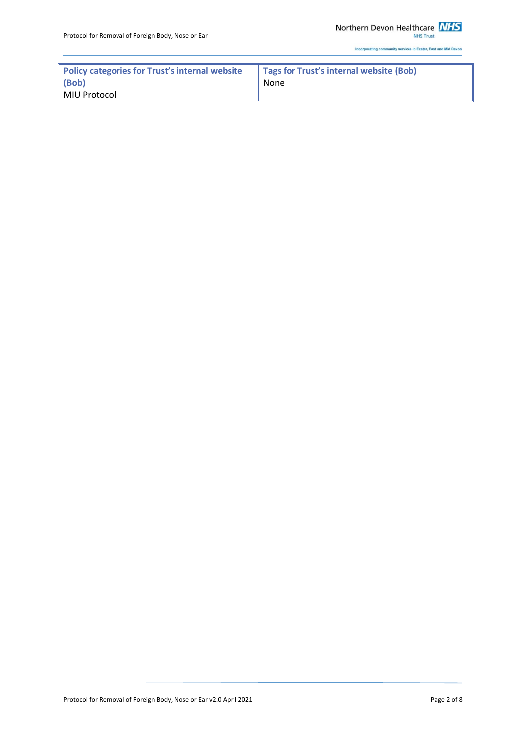**NHS Trust** 

Incorporating community services in Exeter, East and Mid Devon

| Policy categories for Trust's internal website<br>$ $ (Bob) | Tags for Trust's internal website (Bob)<br>None |  |  |
|-------------------------------------------------------------|-------------------------------------------------|--|--|
|                                                             |                                                 |  |  |
| ∣ MIU Protocol                                              |                                                 |  |  |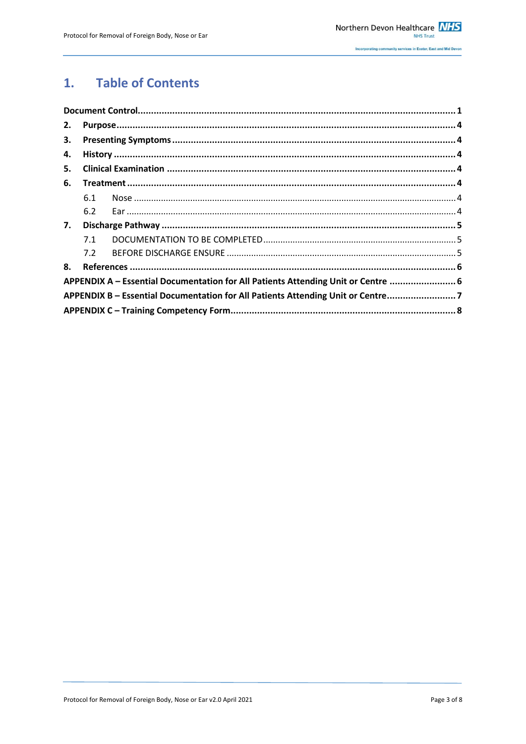#### **Table of Contents**  $1.$

| 2. |     |                                                                                   |  |  |
|----|-----|-----------------------------------------------------------------------------------|--|--|
| 3. |     |                                                                                   |  |  |
| 4. |     |                                                                                   |  |  |
| 5. |     |                                                                                   |  |  |
| 6. |     |                                                                                   |  |  |
|    | 6.1 |                                                                                   |  |  |
|    | 6.2 |                                                                                   |  |  |
| 7. |     |                                                                                   |  |  |
|    | 7.1 |                                                                                   |  |  |
|    | 7.2 |                                                                                   |  |  |
| 8. |     |                                                                                   |  |  |
|    |     | APPENDIX A - Essential Documentation for All Patients Attending Unit or Centre  6 |  |  |
|    |     | APPENDIX B - Essential Documentation for All Patients Attending Unit or Centre7   |  |  |
|    |     |                                                                                   |  |  |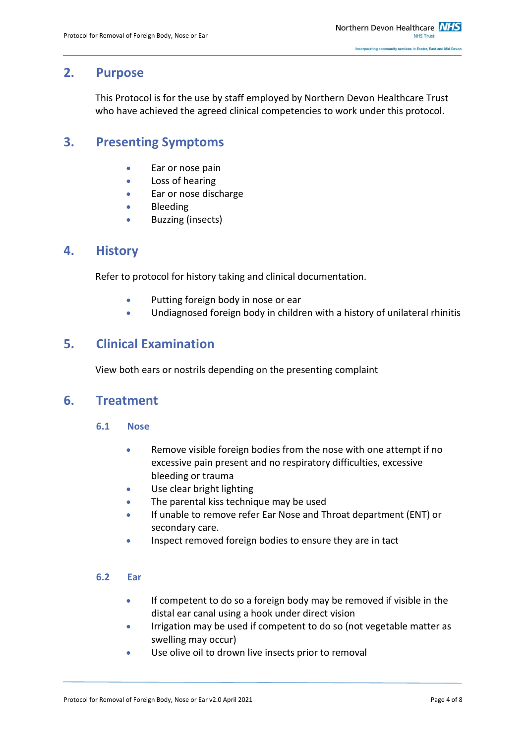# <span id="page-3-0"></span>**2. Purpose**

This Protocol is for the use by staff employed by Northern Devon Healthcare Trust who have achieved the agreed clinical competencies to work under this protocol.

# <span id="page-3-1"></span>**3. Presenting Symptoms**

- **Ear or nose pain**
- Loss of hearing
- Ear or nose discharge
- **•** Bleeding
- **•** Buzzing (insects)

## <span id="page-3-2"></span>**4. History**

Refer to protocol for history taking and clinical documentation.

- Putting foreign body in nose or ear
- Undiagnosed foreign body in children with a history of unilateral rhinitis

# <span id="page-3-3"></span>**5. Clinical Examination**

View both ears or nostrils depending on the presenting complaint

## <span id="page-3-5"></span><span id="page-3-4"></span>**6. Treatment**

- **6.1 Nose**
	- Remove visible foreign bodies from the nose with one attempt if no excessive pain present and no respiratory difficulties, excessive bleeding or trauma
	- Use clear bright lighting
	- The parental kiss technique may be used
	- If unable to remove refer Ear Nose and Throat department (ENT) or secondary care.
	- **Inspect removed foreign bodies to ensure they are in tact**

### <span id="page-3-6"></span>**6.2 Ear**

- **If competent to do so a foreign body may be removed if visible in the** distal ear canal using a hook under direct vision
- **I**rrigation may be used if competent to do so (not vegetable matter as swelling may occur)
- Use olive oil to drown live insects prior to removal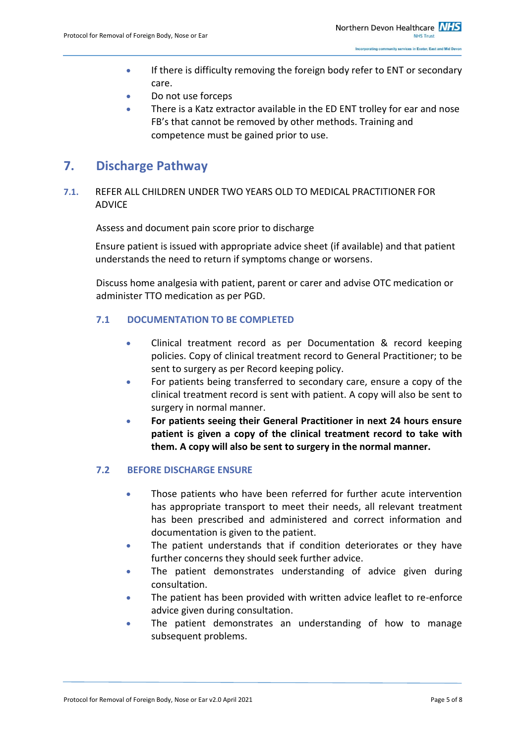- **If there is difficulty removing the foreign body refer to ENT or secondary** care.
- Do not use forceps
- There is a Katz extractor available in the ED ENT trolley for ear and nose FB's that cannot be removed by other methods. Training and competence must be gained prior to use.

# <span id="page-4-0"></span>**7. Discharge Pathway**

### **7.1.** REFER ALL CHILDREN UNDER TWO YEARS OLD TO MEDICAL PRACTITIONER FOR ADVICE

Assess and document pain score prior to discharge

Ensure patient is issued with appropriate advice sheet (if available) and that patient understands the need to return if symptoms change or worsens.

Discuss home analgesia with patient, parent or carer and advise OTC medication or administer TTO medication as per PGD.

### <span id="page-4-1"></span>**7.1 DOCUMENTATION TO BE COMPLETED**

- Clinical treatment record as per Documentation & record keeping policies. Copy of clinical treatment record to General Practitioner; to be sent to surgery as per Record keeping policy.
- For patients being transferred to secondary care, ensure a copy of the clinical treatment record is sent with patient. A copy will also be sent to surgery in normal manner.
- **For patients seeing their General Practitioner in next 24 hours ensure patient is given a copy of the clinical treatment record to take with them. A copy will also be sent to surgery in the normal manner.**

### <span id="page-4-2"></span>**7.2 BEFORE DISCHARGE ENSURE**

- Those patients who have been referred for further acute intervention has appropriate transport to meet their needs, all relevant treatment has been prescribed and administered and correct information and documentation is given to the patient.
- The patient understands that if condition deteriorates or they have further concerns they should seek further advice.
- The patient demonstrates understanding of advice given during consultation.
- The patient has been provided with written advice leaflet to re-enforce advice given during consultation.
- The patient demonstrates an understanding of how to manage subsequent problems.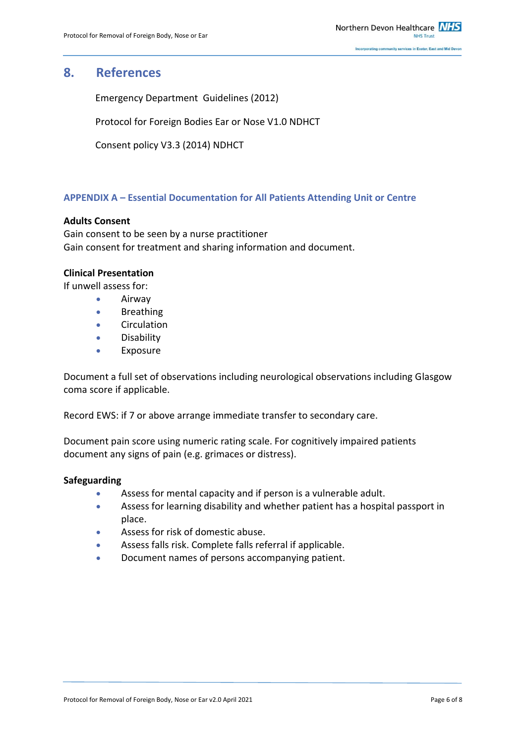# <span id="page-5-0"></span>**8. References**

Emergency Department Guidelines (2012)

Protocol for Foreign Bodies Ear or Nose V1.0 NDHCT

Consent policy V3.3 (2014) NDHCT

### <span id="page-5-1"></span>**APPENDIX A – Essential Documentation for All Patients Attending Unit or Centre**

### **Adults Consent**

Gain consent to be seen by a nurse practitioner Gain consent for treatment and sharing information and document.

### **Clinical Presentation**

If unwell assess for:

- **•** Airway
- **•** Breathing
- **•** Circulation
- **•** Disability
- **•** Exposure

Document a full set of observations including neurological observations including Glasgow coma score if applicable.

Record EWS: if 7 or above arrange immediate transfer to secondary care.

Document pain score using numeric rating scale. For cognitively impaired patients document any signs of pain (e.g. grimaces or distress).

#### **Safeguarding**

- Assess for mental capacity and if person is a vulnerable adult.
- Assess for learning disability and whether patient has a hospital passport in place.
- Assess for risk of domestic abuse.
- Assess falls risk. Complete falls referral if applicable.
- Document names of persons accompanying patient.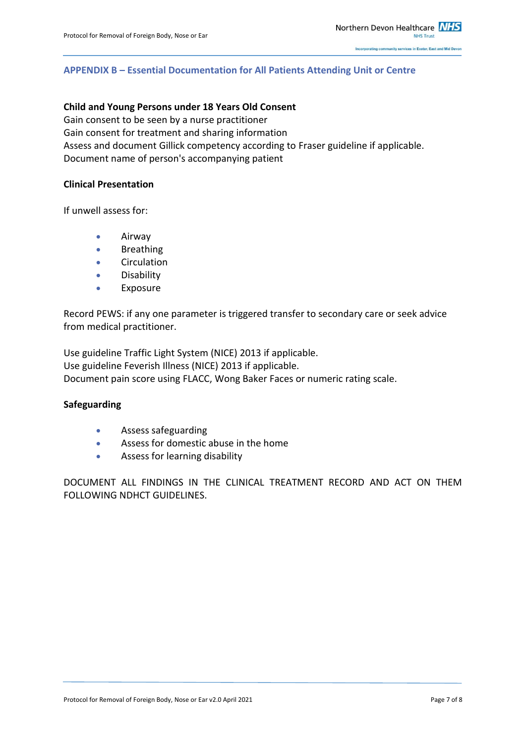### <span id="page-6-0"></span>**APPENDIX B – Essential Documentation for All Patients Attending Unit or Centre**

### **Child and Young Persons under 18 Years Old Consent**

Gain consent to be seen by a nurse practitioner Gain consent for treatment and sharing information Assess and document Gillick competency according to Fraser guideline if applicable. Document name of person's accompanying patient

#### **Clinical Presentation**

If unwell assess for:

- **•** Airway
- **•** Breathing
- **•** Circulation
- **•** Disability
- Exposure

Record PEWS: if any one parameter is triggered transfer to secondary care or seek advice from medical practitioner.

Use guideline Traffic Light System (NICE) 2013 if applicable. Use guideline Feverish Illness (NICE) 2013 if applicable. Document pain score using FLACC, Wong Baker Faces or numeric rating scale.

#### **Safeguarding**

- Assess safeguarding
- Assess for domestic abuse in the home
- Assess for learning disability

DOCUMENT ALL FINDINGS IN THE CLINICAL TREATMENT RECORD AND ACT ON THEM FOLLOWING NDHCT GUIDELINES.